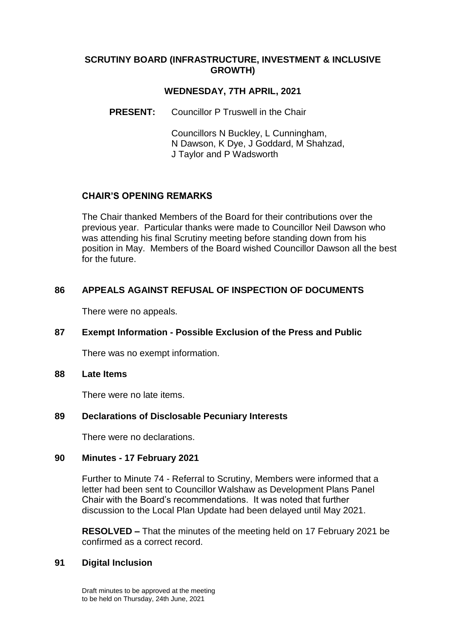### **SCRUTINY BOARD (INFRASTRUCTURE, INVESTMENT & INCLUSIVE GROWTH)**

## **WEDNESDAY, 7TH APRIL, 2021**

**PRESENT:** Councillor P Truswell in the Chair

Councillors N Buckley, L Cunningham, N Dawson, K Dye, J Goddard, M Shahzad, J Taylor and P Wadsworth

## **CHAIR'S OPENING REMARKS**

The Chair thanked Members of the Board for their contributions over the previous year. Particular thanks were made to Councillor Neil Dawson who was attending his final Scrutiny meeting before standing down from his position in May. Members of the Board wished Councillor Dawson all the best for the future.

## **86 APPEALS AGAINST REFUSAL OF INSPECTION OF DOCUMENTS**

There were no appeals.

### **87 Exempt Information - Possible Exclusion of the Press and Public**

There was no exempt information.

#### **88 Late Items**

There were no late items.

### **89 Declarations of Disclosable Pecuniary Interests**

There were no declarations.

### **90 Minutes - 17 February 2021**

Further to Minute 74 - Referral to Scrutiny, Members were informed that a letter had been sent to Councillor Walshaw as Development Plans Panel Chair with the Board's recommendations. It was noted that further discussion to the Local Plan Update had been delayed until May 2021.

**RESOLVED –** That the minutes of the meeting held on 17 February 2021 be confirmed as a correct record.

### **91 Digital Inclusion**

Draft minutes to be approved at the meeting to be held on Thursday, 24th June, 2021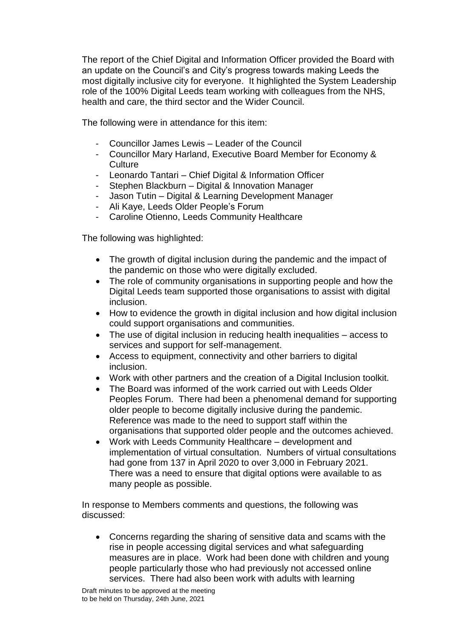The report of the Chief Digital and Information Officer provided the Board with an update on the Council's and City's progress towards making Leeds the most digitally inclusive city for everyone. It highlighted the System Leadership role of the 100% Digital Leeds team working with colleagues from the NHS, health and care, the third sector and the Wider Council.

The following were in attendance for this item:

- Councillor James Lewis Leader of the Council
- Councillor Mary Harland, Executive Board Member for Economy & **Culture**
- Leonardo Tantari Chief Digital & Information Officer
- Stephen Blackburn Digital & Innovation Manager
- Jason Tutin Digital & Learning Development Manager
- Ali Kaye, Leeds Older People's Forum
- Caroline Otienno, Leeds Community Healthcare

The following was highlighted:

- The growth of digital inclusion during the pandemic and the impact of the pandemic on those who were digitally excluded.
- The role of community organisations in supporting people and how the Digital Leeds team supported those organisations to assist with digital inclusion.
- How to evidence the growth in digital inclusion and how digital inclusion could support organisations and communities.
- The use of digital inclusion in reducing health inequalities access to services and support for self-management.
- Access to equipment, connectivity and other barriers to digital inclusion.
- Work with other partners and the creation of a Digital Inclusion toolkit.
- The Board was informed of the work carried out with Leeds Older Peoples Forum. There had been a phenomenal demand for supporting older people to become digitally inclusive during the pandemic. Reference was made to the need to support staff within the organisations that supported older people and the outcomes achieved.
- Work with Leeds Community Healthcare development and implementation of virtual consultation. Numbers of virtual consultations had gone from 137 in April 2020 to over 3,000 in February 2021. There was a need to ensure that digital options were available to as many people as possible.

In response to Members comments and questions, the following was discussed:

 Concerns regarding the sharing of sensitive data and scams with the rise in people accessing digital services and what safeguarding measures are in place. Work had been done with children and young people particularly those who had previously not accessed online services. There had also been work with adults with learning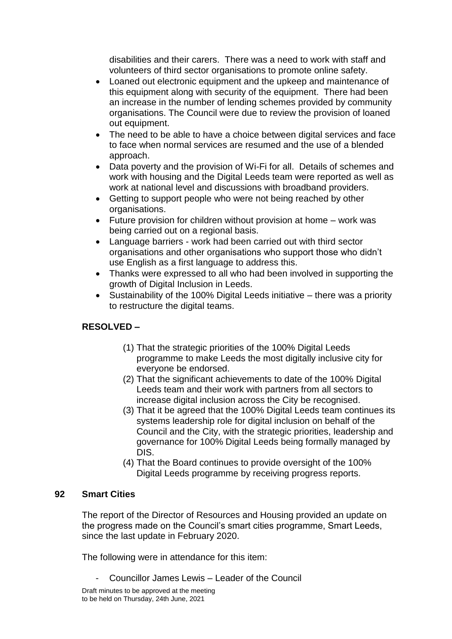disabilities and their carers. There was a need to work with staff and volunteers of third sector organisations to promote online safety.

- Loaned out electronic equipment and the upkeep and maintenance of this equipment along with security of the equipment. There had been an increase in the number of lending schemes provided by community organisations. The Council were due to review the provision of loaned out equipment.
- The need to be able to have a choice between digital services and face to face when normal services are resumed and the use of a blended approach.
- Data poverty and the provision of Wi-Fi for all. Details of schemes and work with housing and the Digital Leeds team were reported as well as work at national level and discussions with broadband providers.
- Getting to support people who were not being reached by other organisations.
- Future provision for children without provision at home work was being carried out on a regional basis.
- Language barriers work had been carried out with third sector organisations and other organisations who support those who didn't use English as a first language to address this.
- Thanks were expressed to all who had been involved in supporting the growth of Digital Inclusion in Leeds.
- Sustainability of the 100% Digital Leeds initiative there was a priority to restructure the digital teams.

# **RESOLVED –**

- (1) That the strategic priorities of the 100% Digital Leeds programme to make Leeds the most digitally inclusive city for everyone be endorsed.
- (2) That the significant achievements to date of the 100% Digital Leeds team and their work with partners from all sectors to increase digital inclusion across the City be recognised.
- (3) That it be agreed that the 100% Digital Leeds team continues its systems leadership role for digital inclusion on behalf of the Council and the City, with the strategic priorities, leadership and governance for 100% Digital Leeds being formally managed by DIS.
- (4) That the Board continues to provide oversight of the 100% Digital Leeds programme by receiving progress reports.

## **92 Smart Cities**

The report of the Director of Resources and Housing provided an update on the progress made on the Council's smart cities programme, Smart Leeds, since the last update in February 2020.

The following were in attendance for this item:

- Councillor James Lewis – Leader of the Council

Draft minutes to be approved at the meeting to be held on Thursday, 24th June, 2021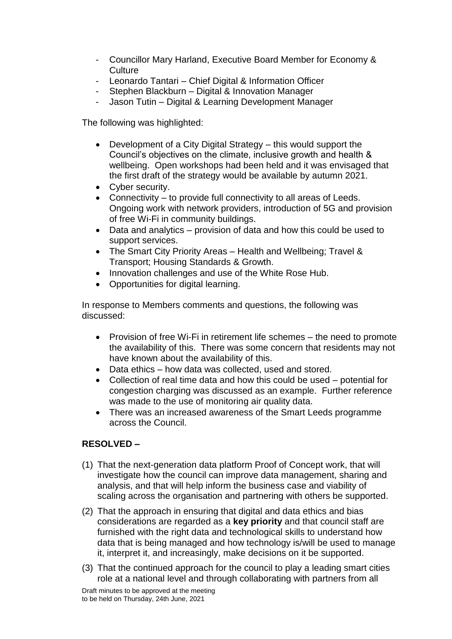- Councillor Mary Harland, Executive Board Member for Economy & **Culture**
- Leonardo Tantari Chief Digital & Information Officer
- Stephen Blackburn Digital & Innovation Manager
- Jason Tutin Digital & Learning Development Manager

The following was highlighted:

- Development of a City Digital Strategy this would support the Council's objectives on the climate, inclusive growth and health & wellbeing. Open workshops had been held and it was envisaged that the first draft of the strategy would be available by autumn 2021.
- Cyber security.
- Connectivity to provide full connectivity to all areas of Leeds. Ongoing work with network providers, introduction of 5G and provision of free Wi-Fi in community buildings.
- Data and analytics provision of data and how this could be used to support services.
- The Smart City Priority Areas Health and Wellbeing; Travel & Transport; Housing Standards & Growth.
- Innovation challenges and use of the White Rose Hub.
- Opportunities for digital learning.

In response to Members comments and questions, the following was discussed:

- Provision of free Wi-Fi in retirement life schemes the need to promote the availability of this. There was some concern that residents may not have known about the availability of this.
- Data ethics how data was collected, used and stored.
- Collection of real time data and how this could be used potential for congestion charging was discussed as an example. Further reference was made to the use of monitoring air quality data.
- There was an increased awareness of the Smart Leeds programme across the Council.

# **RESOLVED –**

- (1) That the next-generation data platform Proof of Concept work, that will investigate how the council can improve data management, sharing and analysis, and that will help inform the business case and viability of scaling across the organisation and partnering with others be supported.
- (2) That the approach in ensuring that digital and data ethics and bias considerations are regarded as a **key priority** and that council staff are furnished with the right data and technological skills to understand how data that is being managed and how technology is/will be used to manage it, interpret it, and increasingly, make decisions on it be supported.
- (3) That the continued approach for the council to play a leading smart cities role at a national level and through collaborating with partners from all

Draft minutes to be approved at the meeting to be held on Thursday, 24th June, 2021